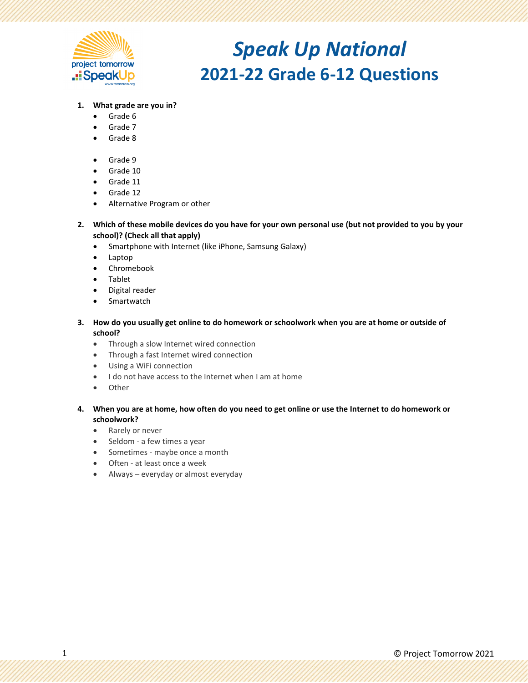

### **1. What grade are you in?**

- Grade 6
- Grade 7
- Grade 8
- Grade 9
- Grade 10
- Grade 11
- Grade 12
- Alternative Program or other
- **2. Which of these mobile devices do you have for your own personal use (but not provided to you by your school)? (Check all that apply)**
	- Smartphone with Internet (like iPhone, Samsung Galaxy)
	- Laptop
	- Chromebook
	- Tablet
	- Digital reader
	- Smartwatch
- **3. How do you usually get online to do homework or schoolwork when you are at home or outside of school?**
	- Through a slow Internet wired connection
	- Through a fast Internet wired connection
	- Using a WiFi connection
	- I do not have access to the Internet when I am at home
	- Other
- **4. When you are at home, how often do you need to get online or use the Internet to do homework or schoolwork?**
	- Rarely or never
	- Seldom a few times a year
	- Sometimes maybe once a month
	- Often at least once a week
	- Always everyday or almost everyday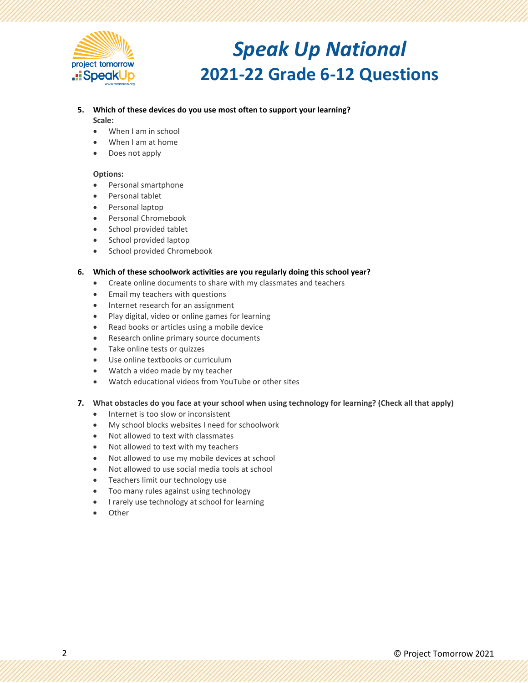

#### **5. Which of these devices do you use most often to support your learning? Scale:**

- When I am in school
- When I am at home
- Does not apply

#### **Options:**

- Personal smartphone
- Personal tablet
- Personal laptop
- Personal Chromebook
- School provided tablet
- School provided laptop
- School provided Chromebook

### **6. Which of these schoolwork activities are you regularly doing this school year?**

- Create online documents to share with my classmates and teachers
- Email my teachers with questions
- Internet research for an assignment
- Play digital, video or online games for learning
- Read books or articles using a mobile device
- Research online primary source documents
- Take online tests or quizzes
- Use online textbooks or curriculum
- Watch a video made by my teacher
- Watch educational videos from YouTube or other sites

### **7. What obstacles do you face at your school when using technology for learning? (Check all that apply)**

- Internet is too slow or inconsistent
- My school blocks websites I need for schoolwork
- Not allowed to text with classmates
- Not allowed to text with my teachers
- Not allowed to use my mobile devices at school
- Not allowed to use social media tools at school
- Teachers limit our technology use
- Too many rules against using technology
- I rarely use technology at school for learning
- **Other**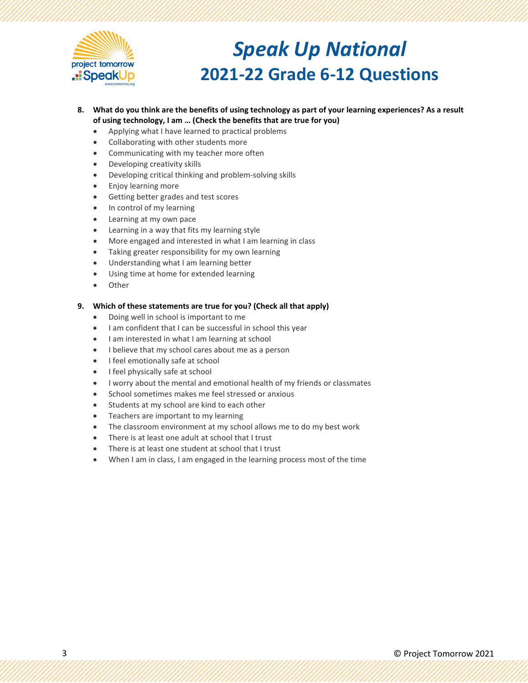

- **8. What do you think are the benefits of using technology as part of your learning experiences? As a result of using technology, I am … (Check the benefits that are true for you)**
	- Applying what I have learned to practical problems
	- Collaborating with other students more
	- Communicating with my teacher more often
	- Developing creativity skills
	- Developing critical thinking and problem-solving skills
	- Enjoy learning more
	- Getting better grades and test scores
	- In control of my learning
	- Learning at my own pace
	- Learning in a way that fits my learning style
	- More engaged and interested in what I am learning in class
	- Taking greater responsibility for my own learning
	- Understanding what I am learning better
	- Using time at home for extended learning
	- **Other**

### **9. Which of these statements are true for you? (Check all that apply)**

- Doing well in school is important to me
- I am confident that I can be successful in school this year
- I am interested in what I am learning at school
- I believe that my school cares about me as a person
- I feel emotionally safe at school
- I feel physically safe at school
- I worry about the mental and emotional health of my friends or classmates
- School sometimes makes me feel stressed or anxious
- Students at my school are kind to each other
- Teachers are important to my learning
- The classroom environment at my school allows me to do my best work
- There is at least one adult at school that I trust
- There is at least one student at school that I trust
- When I am in class, I am engaged in the learning process most of the time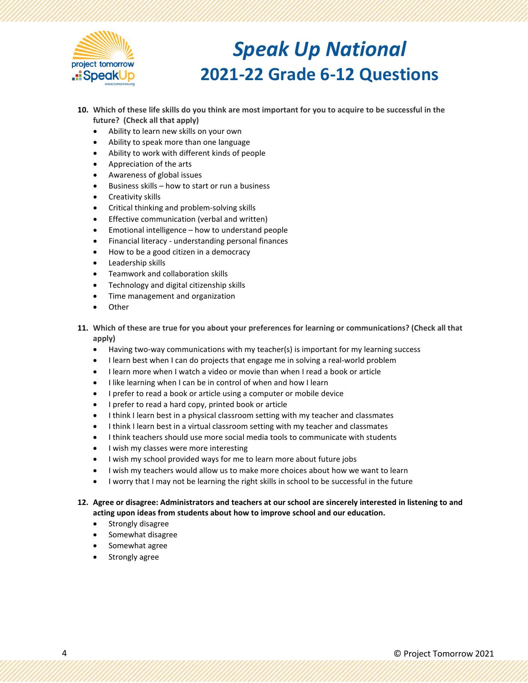

- **10. Which of these life skills do you think are most important for you to acquire to be successful in the future? (Check all that apply)**
	- Ability to learn new skills on your own
	- Ability to speak more than one language
	- Ability to work with different kinds of people
	- Appreciation of the arts
	- Awareness of global issues
	- Business skills how to start or run a business
	- Creativity skills
	- Critical thinking and problem-solving skills
	- Effective communication (verbal and written)
	- Emotional intelligence how to understand people
	- Financial literacy understanding personal finances
	- How to be a good citizen in a democracy
	- Leadership skills
	- Teamwork and collaboration skills
	- Technology and digital citizenship skills
	- Time management and organization
	- **Other**
- **11. Which of these are true for you about your preferences for learning or communications? (Check all that apply)**
	- Having two-way communications with my teacher(s) is important for my learning success
	- I learn best when I can do projects that engage me in solving a real-world problem
	- I learn more when I watch a video or movie than when I read a book or article
	- I like learning when I can be in control of when and how I learn
	- I prefer to read a book or article using a computer or mobile device
	- I prefer to read a hard copy, printed book or article
	- I think I learn best in a physical classroom setting with my teacher and classmates
	- I think I learn best in a virtual classroom setting with my teacher and classmates
	- I think teachers should use more social media tools to communicate with students
	- I wish my classes were more interesting
	- I wish my school provided ways for me to learn more about future jobs
	- I wish my teachers would allow us to make more choices about how we want to learn
	- I worry that I may not be learning the right skills in school to be successful in the future

### **12. Agree or disagree: Administrators and teachers at our school are sincerely interested in listening to and acting upon ideas from students about how to improve school and our education.**

- Strongly disagree
- Somewhat disagree
- Somewhat agree
- Strongly agree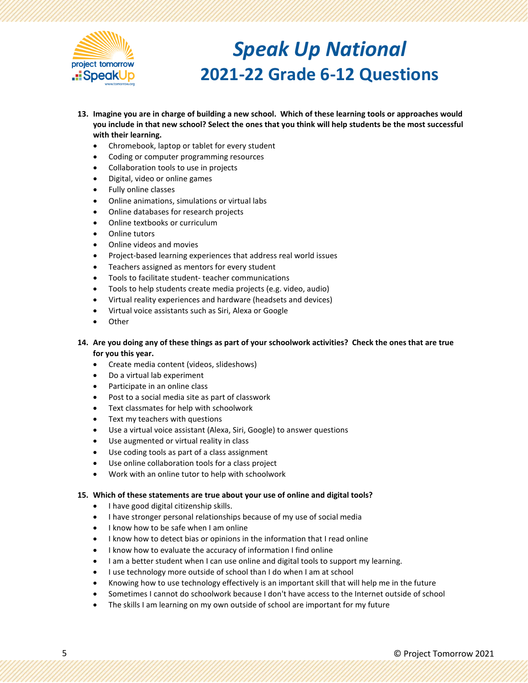

- **13. Imagine you are in charge of building a new school. Which of these learning tools or approaches would you include in that new school? Select the ones that you think will help students be the most successful with their learning.**
	- Chromebook, laptop or tablet for every student
	- Coding or computer programming resources
	- Collaboration tools to use in projects
	- Digital, video or online games
	- Fully online classes
	- Online animations, simulations or virtual labs
	- Online databases for research projects
	- Online textbooks or curriculum
	- Online tutors
	- Online videos and movies
	- Project-based learning experiences that address real world issues
	- Teachers assigned as mentors for every student
	- Tools to facilitate student- teacher communications
	- Tools to help students create media projects (e.g. video, audio)
	- Virtual reality experiences and hardware (headsets and devices)
	- Virtual voice assistants such as Siri, Alexa or Google
	- **Other**
- **14. Are you doing any of these things as part of your schoolwork activities? Check the ones that are true for you this year.**
	- Create media content (videos, slideshows)
	- Do a virtual lab experiment
	- Participate in an online class
	- Post to a social media site as part of classwork
	- Text classmates for help with schoolwork
	- Text my teachers with questions
	- Use a virtual voice assistant (Alexa, Siri, Google) to answer questions
	- Use augmented or virtual reality in class
	- Use coding tools as part of a class assignment
	- Use online collaboration tools for a class project
	- Work with an online tutor to help with schoolwork

#### **15. Which of these statements are true about your use of online and digital tools?**

- I have good digital citizenship skills.
- I have stronger personal relationships because of my use of social media
- I know how to be safe when I am online
- I know how to detect bias or opinions in the information that I read online
- I know how to evaluate the accuracy of information I find online
- I am a better student when I can use online and digital tools to support my learning.
- I use technology more outside of school than I do when I am at school
- Knowing how to use technology effectively is an important skill that will help me in the future
- Sometimes I cannot do schoolwork because I don't have access to the Internet outside of school
- The skills I am learning on my own outside of school are important for my future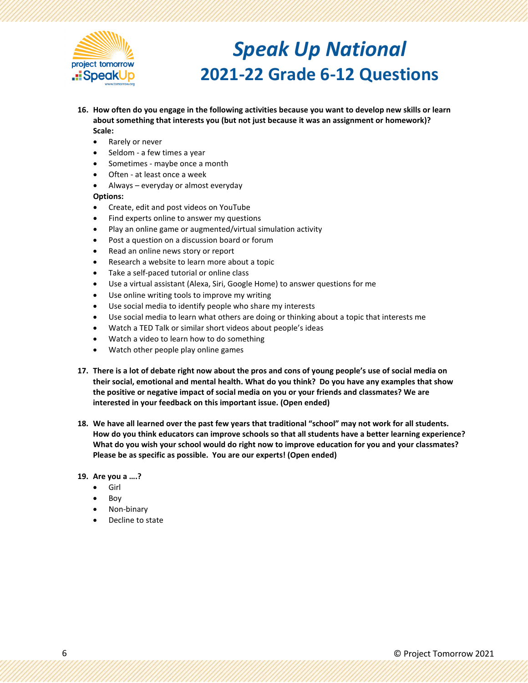

- **16. How often do you engage in the following activities because you want to develop new skills or learn about something that interests you (but not just because it was an assignment or homework)? Scale:**
	- Rarely or never
	- Seldom a few times a year
	- Sometimes maybe once a month
	- Often at least once a week
	- Always everyday or almost everyday

### **Options:**

- Create, edit and post videos on YouTube
- Find experts online to answer my questions
- Play an online game or augmented/virtual simulation activity
- Post a question on a discussion board or forum
- Read an online news story or report
- Research a website to learn more about a topic
- Take a self-paced tutorial or online class
- Use a virtual assistant (Alexa, Siri, Google Home) to answer questions for me
- Use online writing tools to improve my writing
- Use social media to identify people who share my interests
- Use social media to learn what others are doing or thinking about a topic that interests me
- Watch a TED Talk or similar short videos about people's ideas
- Watch a video to learn how to do something
- Watch other people play online games
- **17. There is a lot of debate right now about the pros and cons of young people's use of social media on their social, emotional and mental health. What do you think? Do you have any examples that show the positive or negative impact of social media on you or your friends and classmates? We are interested in your feedback on this important issue. (Open ended)**
- **18. We have all learned over the past few years that traditional "school" may not work for all students. How do you think educators can improve schools so that all students have a better learning experience? What do you wish your school would do right now to improve education for you and your classmates? Please be as specific as possible. You are our experts! (Open ended)**
- **19. Are you a ….?**
	- Girl
	- Boy
	- Non-binary
	- Decline to state